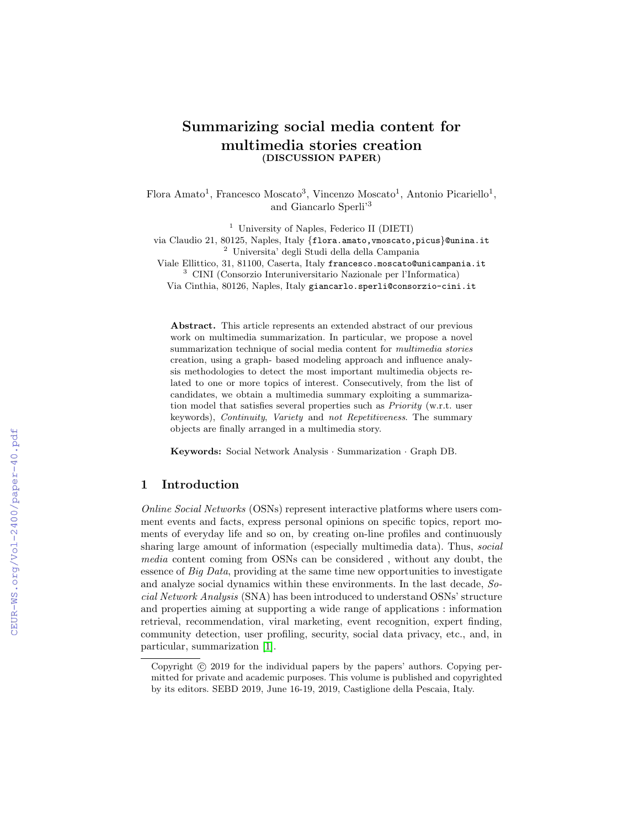# Summarizing social media content for multimedia stories creation (DISCUSSION PAPER)

Flora Amato<sup>1</sup>, Francesco Moscato<sup>3</sup>, Vincenzo Moscato<sup>1</sup>, Antonio Picariello<sup>1</sup>, and Giancarlo Sperli'<sup>3</sup>

<sup>1</sup> University of Naples, Federico II (DIETI)

via Claudio 21, 80125, Naples, Italy {flora.amato, vmoscato, picus}@unina.it <sup>2</sup> Universita' degli Studi della della Campania

Viale Ellittico, 31, 81100, Caserta, Italy francesco.moscato@unicampania.it <sup>3</sup> CINI (Consorzio Interuniversitario Nazionale per l'Informatica)

Via Cinthia, 80126, Naples, Italy giancarlo.sperli@consorzio-cini.it

Abstract. This article represents an extended abstract of our previous work on multimedia summarization. In particular, we propose a novel summarization technique of social media content for multimedia stories creation, using a graph- based modeling approach and influence analysis methodologies to detect the most important multimedia objects related to one or more topics of interest. Consecutively, from the list of candidates, we obtain a multimedia summary exploiting a summarization model that satisfies several properties such as Priority (w.r.t. user keywords), Continuity, Variety and not Repetitiveness. The summary objects are finally arranged in a multimedia story.

Keywords: Social Network Analysis · Summarization · Graph DB.

#### 1 Introduction

Online Social Networks (OSNs) represent interactive platforms where users comment events and facts, express personal opinions on specific topics, report moments of everyday life and so on, by creating on-line profiles and continuously sharing large amount of information (especially multimedia data). Thus, social media content coming from OSNs can be considered , without any doubt, the essence of Big Data, providing at the same time new opportunities to investigate and analyze social dynamics within these environments. In the last decade, Social Network Analysis (SNA) has been introduced to understand OSNs' structure and properties aiming at supporting a wide range of applications : information retrieval, recommendation, viral marketing, event recognition, expert finding, community detection, user profiling, security, social data privacy, etc., and, in particular, summarization [\[1\]](#page--1-0).

Copyright  $\odot$  2019 for the individual papers by the papers' authors. Copying permitted for private and academic purposes. This volume is published and copyrighted by its editors. SEBD 2019, June 16-19, 2019, Castiglione della Pescaia, Italy.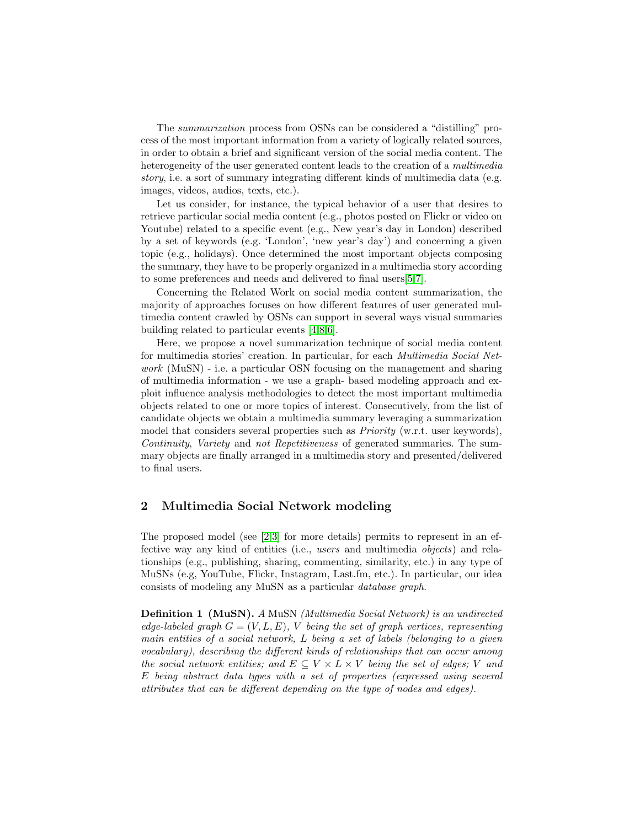The summarization process from OSNs can be considered a "distilling" process of the most important information from a variety of logically related sources, in order to obtain a brief and significant version of the social media content. The heterogeneity of the user generated content leads to the creation of a *multimedia* story, i.e. a sort of summary integrating different kinds of multimedia data (e.g. images, videos, audios, texts, etc.).

Let us consider, for instance, the typical behavior of a user that desires to retrieve particular social media content (e.g., photos posted on Flickr or video on Youtube) related to a specific event (e.g., New year's day in London) described by a set of keywords (e.g. 'London', 'new year's day') and concerning a given topic (e.g., holidays). Once determined the most important objects composing the summary, they have to be properly organized in a multimedia story according to some preferences and needs and delivered to final users[\[5,](#page-7-0)[7\]](#page-7-1).

Concerning the Related Work on social media content summarization, the majority of approaches focuses on how different features of user generated multimedia content crawled by OSNs can support in several ways visual summaries building related to particular events [\[4,](#page-7-2)[8,](#page-7-3)[6\]](#page-7-4).

Here, we propose a novel summarization technique of social media content for multimedia stories' creation. In particular, for each Multimedia Social Network (MuSN) - i.e. a particular OSN focusing on the management and sharing of multimedia information - we use a graph- based modeling approach and exploit influence analysis methodologies to detect the most important multimedia objects related to one or more topics of interest. Consecutively, from the list of candidate objects we obtain a multimedia summary leveraging a summarization model that considers several properties such as *Priority* (w.r.t. user keywords), Continuity, Variety and not Repetitiveness of generated summaries. The summary objects are finally arranged in a multimedia story and presented/delivered to final users.

#### 2 Multimedia Social Network modeling

The proposed model (see [\[2,](#page-7-5)[3\]](#page-7-6) for more details) permits to represent in an effective way any kind of entities (i.e., users and multimedia objects) and relationships (e.g., publishing, sharing, commenting, similarity, etc.) in any type of MuSNs (e.g, YouTube, Flickr, Instagram, Last.fm, etc.). In particular, our idea consists of modeling any MuSN as a particular database graph.

Definition 1 (MuSN). A MuSN (Multimedia Social Network) is an undirected edge-labeled graph  $G = (V, L, E)$ , V being the set of graph vertices, representing main entities of a social network, L being a set of labels (belonging to a given vocabulary), describing the different kinds of relationships that can occur among the social network entities; and  $E \subseteq V \times L \times V$  being the set of edges; V and E being abstract data types with a set of properties (expressed using several attributes that can be different depending on the type of nodes and edges).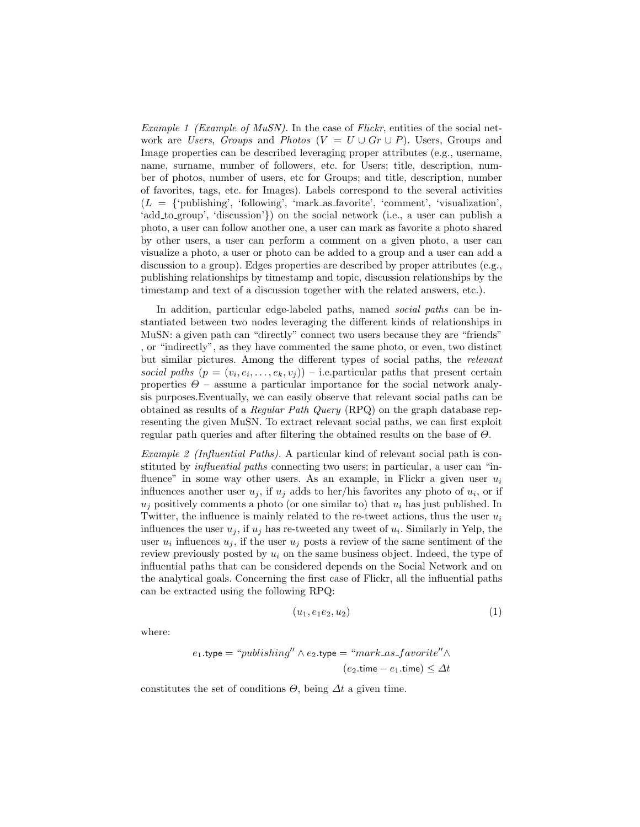*Example 1 (Example of MuSN)*. In the case of *Flickr*, entities of the social network are Users, Groups and Photos ( $V = U \cup Gr \cup P$ ). Users, Groups and Image properties can be described leveraging proper attributes (e.g., username, name, surname, number of followers, etc. for Users; title, description, number of photos, number of users, etc for Groups; and title, description, number of favorites, tags, etc. for Images). Labels correspond to the several activities  $(L = \{\text{`publishing'}, \text{ `following'}, \text{ `mark-as_favorite'}, \text{ `comment'}, \text{ `visualization'},\}$ 'add\_to\_group', 'discussion'}) on the social network (i.e., a user can publish a photo, a user can follow another one, a user can mark as favorite a photo shared by other users, a user can perform a comment on a given photo, a user can visualize a photo, a user or photo can be added to a group and a user can add a discussion to a group). Edges properties are described by proper attributes (e.g., publishing relationships by timestamp and topic, discussion relationships by the timestamp and text of a discussion together with the related answers, etc.).

In addition, particular edge-labeled paths, named *social paths* can be instantiated between two nodes leveraging the different kinds of relationships in MuSN: a given path can "directly" connect two users because they are "friends" , or "indirectly", as they have commented the same photo, or even, two distinct but similar pictures. Among the different types of social paths, the relevant social paths  $(p = (v_i, e_i, \ldots, e_k, v_j))$  – i.e. particular paths that present certain properties  $\Theta$  – assume a particular importance for the social network analysis purposes.Eventually, we can easily observe that relevant social paths can be obtained as results of a Regular Path Query (RPQ) on the graph database representing the given MuSN. To extract relevant social paths, we can first exploit regular path queries and after filtering the obtained results on the base of  $\Theta$ .

Example 2 (Influential Paths). A particular kind of relevant social path is constituted by influential paths connecting two users; in particular, a user can "influence" in some way other users. As an example, in Flickr a given user  $u_i$ influences another user  $u_j$ , if  $u_j$  adds to her/his favorites any photo of  $u_i$ , or if  $u_i$  positively comments a photo (or one similar to) that  $u_i$  has just published. In Twitter, the influence is mainly related to the re-tweet actions, thus the user  $u_i$ influences the user  $u_j$ , if  $u_j$  has re-tweeted any tweet of  $u_i$ . Similarly in Yelp, the user  $u_i$  influences  $u_j$ , if the user  $u_j$  posts a review of the same sentiment of the review previously posted by  $u_i$  on the same business object. Indeed, the type of influential paths that can be considered depends on the Social Network and on the analytical goals. Concerning the first case of Flickr, all the influential paths can be extracted using the following RPQ:

$$
(u_1, e_1e_2, u_2) \tag{1}
$$

where:

$$
e_1.\texttt{type} = \texttt{``published''} \land e_2.\texttt{type} = \texttt{``mark}\_as\_favorite''} \land
$$

$$
(e_2.\texttt{time} - e_1.\texttt{time}) \leq \Delta t
$$

constitutes the set of conditions  $\Theta$ , being  $\Delta t$  a given time.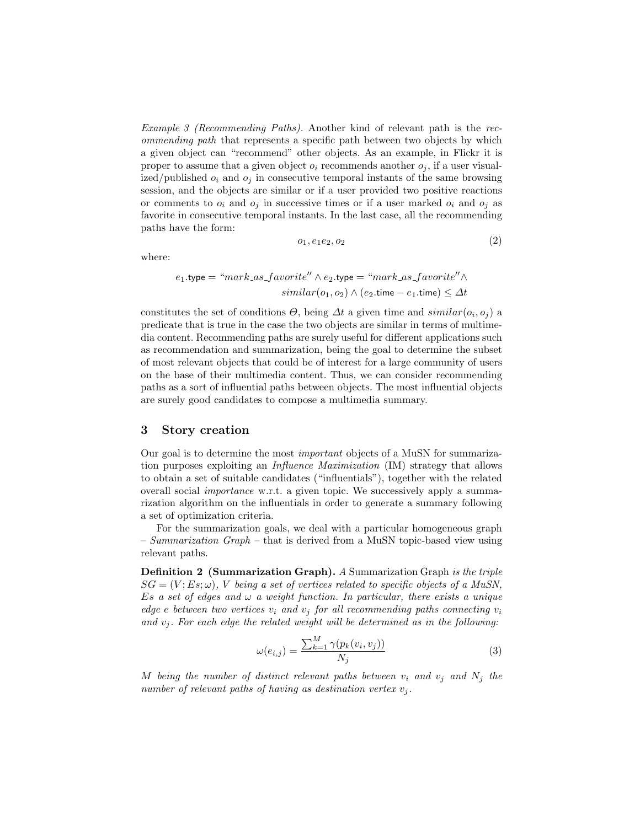Example 3 (Recommending Paths). Another kind of relevant path is the recommending path that represents a specific path between two objects by which a given object can "recommend" other objects. As an example, in Flickr it is proper to assume that a given object  $o_i$  recommends another  $o_j$ , if a user visualized/published  $o_i$  and  $o_j$  in consecutive temporal instants of the same browsing session, and the objects are similar or if a user provided two positive reactions or comments to  $o_i$  and  $o_j$  in successive times or if a user marked  $o_i$  and  $o_j$  as favorite in consecutive temporal instants. In the last case, all the recommending paths have the form:

$$
o_1, e_1e_2, o_2 \tag{2}
$$

where:

$$
e_1.\texttt{type} = \texttt{``mark}\_as\_favorite'' \land e_2.\texttt{type} = \texttt{``mark}\_as\_favorite'' \land
$$
  

$$
similar(o_1, o_2) \land (e_2.\texttt{time} - e_1.\texttt{time}) \leq \Delta t
$$

constitutes the set of conditions  $\Theta$ , being  $\Delta t$  a given time and  $\text{similar}(o_i, o_j)$  a predicate that is true in the case the two objects are similar in terms of multimedia content. Recommending paths are surely useful for different applications such as recommendation and summarization, being the goal to determine the subset of most relevant objects that could be of interest for a large community of users on the base of their multimedia content. Thus, we can consider recommending paths as a sort of influential paths between objects. The most influential objects are surely good candidates to compose a multimedia summary.

#### 3 Story creation

Our goal is to determine the most important objects of a MuSN for summarization purposes exploiting an Influence Maximization (IM) strategy that allows to obtain a set of suitable candidates ("influentials"), together with the related overall social importance w.r.t. a given topic. We successively apply a summarization algorithm on the influentials in order to generate a summary following a set of optimization criteria.

For the summarization goals, we deal with a particular homogeneous graph – Summarization Graph – that is derived from a MuSN topic-based view using relevant paths.

**Definition 2 (Summarization Graph).** A Summarization Graph is the triple  $SG = (V; Es; \omega)$ , V being a set of vertices related to specific objects of a MuSN, Es a set of edges and  $\omega$  a weight function. In particular, there exists a unique edge e between two vertices  $v_i$  and  $v_j$  for all recommending paths connecting  $v_i$ and  $v_i$ . For each edge the related weight will be determined as in the following:

$$
\omega(e_{i,j}) = \frac{\sum_{k=1}^{M} \gamma(p_k(v_i, v_j))}{N_j} \tag{3}
$$

M being the number of distinct relevant paths between  $v_i$  and  $v_j$  and  $N_j$  the number of relevant paths of having as destination vertex  $v_j$ .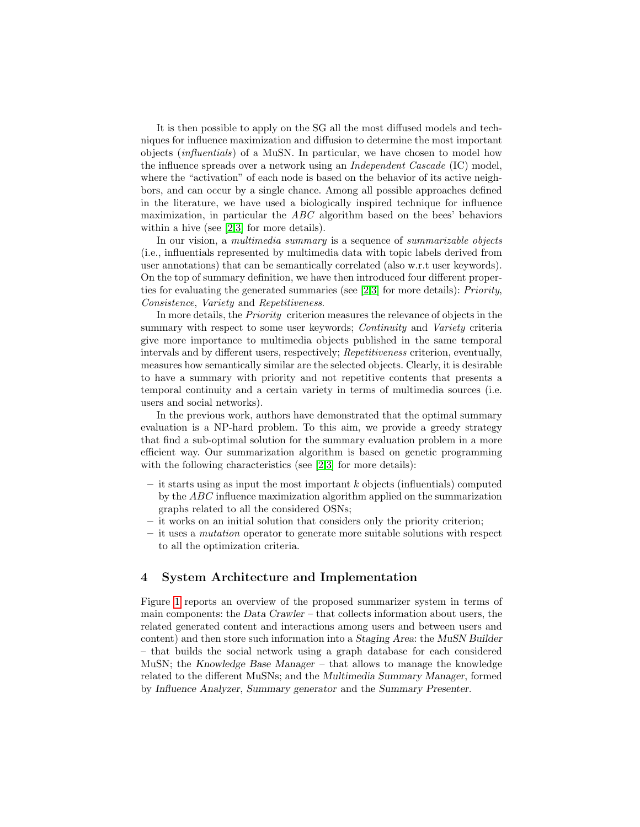It is then possible to apply on the SG all the most diffused models and techniques for influence maximization and diffusion to determine the most important objects (influentials) of a MuSN. In particular, we have chosen to model how the influence spreads over a network using an Independent Cascade (IC) model, where the "activation" of each node is based on the behavior of its active neighbors, and can occur by a single chance. Among all possible approaches defined in the literature, we have used a biologically inspired technique for influence maximization, in particular the ABC algorithm based on the bees' behaviors within a hive (see [\[2,](#page-7-5)[3\]](#page-7-6) for more details).

In our vision, a *multimedia summary* is a sequence of *summarizable objects* (i.e., influentials represented by multimedia data with topic labels derived from user annotations) that can be semantically correlated (also w.r.t user keywords). On the top of summary definition, we have then introduced four different properties for evaluating the generated summaries (see [\[2,](#page-7-5)[3\]](#page-7-6) for more details): Priority, Consistence, Variety and Repetitiveness.

In more details, the Priority criterion measures the relevance of objects in the summary with respect to some user keywords; Continuity and Variety criteria give more importance to multimedia objects published in the same temporal intervals and by different users, respectively; Repetitiveness criterion, eventually, measures how semantically similar are the selected objects. Clearly, it is desirable to have a summary with priority and not repetitive contents that presents a temporal continuity and a certain variety in terms of multimedia sources (i.e. users and social networks).

In the previous work, authors have demonstrated that the optimal summary evaluation is a NP-hard problem. To this aim, we provide a greedy strategy that find a sub-optimal solution for the summary evaluation problem in a more efficient way. Our summarization algorithm is based on genetic programming with the following characteristics (see [\[2,](#page-7-5)[3\]](#page-7-6) for more details):

- it starts using as input the most important  $k$  objects (influentials) computed by the ABC influence maximization algorithm applied on the summarization graphs related to all the considered OSNs;
- it works on an initial solution that considers only the priority criterion;
- it uses a mutation operator to generate more suitable solutions with respect to all the optimization criteria.

#### 4 System Architecture and Implementation

Figure [1](#page-5-0) reports an overview of the proposed summarizer system in terms of main components: the Data Crawler – that collects information about users, the related generated content and interactions among users and between users and content) and then store such information into a Staging Area: the MuSN Builder – that builds the social network using a graph database for each considered MuSN; the Knowledge Base Manager – that allows to manage the knowledge related to the different MuSNs; and the Multimedia Summary Manager, formed by Influence Analyzer, Summary generator and the Summary Presenter.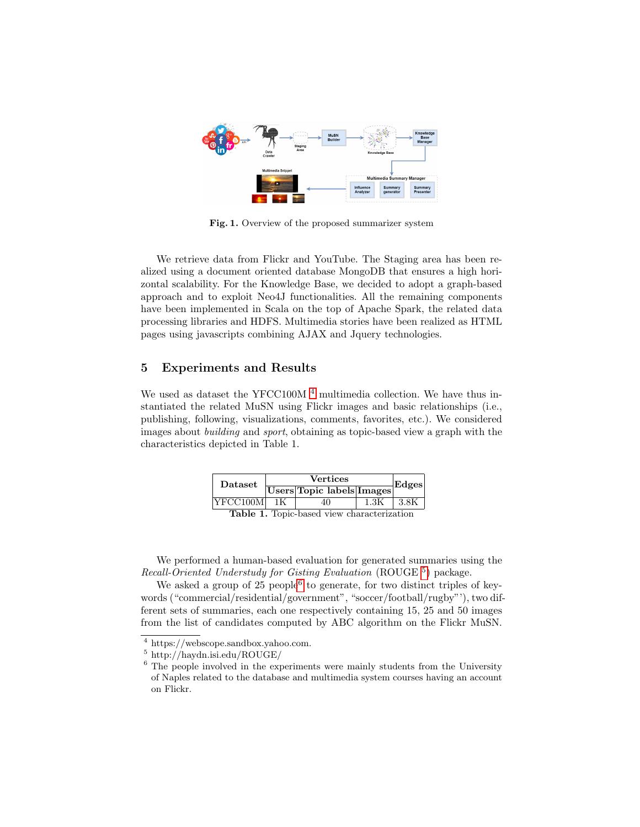

<span id="page-5-0"></span>Fig. 1. Overview of the proposed summarizer system

We retrieve data from Flickr and YouTube. The Staging area has been realized using a document oriented database MongoDB that ensures a high horizontal scalability. For the Knowledge Base, we decided to adopt a graph-based approach and to exploit Neo4J functionalities. All the remaining components have been implemented in Scala on the top of Apache Spark, the related data processing libraries and HDFS. Multimedia stories have been realized as HTML pages using javascripts combining AJAX and Jquery technologies.

## 5 Experiments and Results

We used as dataset the YFCC100M  $<sup>4</sup>$  $<sup>4</sup>$  $<sup>4</sup>$  multimedia collection. We have thus in-</sup> stantiated the related MuSN using Flickr images and basic relationships (i.e., publishing, following, visualizations, comments, favorites, etc.). We considered images about building and sport, obtaining as topic-based view a graph with the characteristics depicted in Table 1.

| Dataset            | <b>Vertices</b> |                                           |      | Edges  |
|--------------------|-----------------|-------------------------------------------|------|--------|
|                    |                 | Users Topic labels Images                 |      |        |
| $ {\rm YFCC100M} $ | 1K              | 40                                        | 1.3K | - 3.8K |
|                    |                 | Table 1 Topic based view characterization |      |        |

Table 1. Topic-based view characterization

We performed a human-based evaluation for generated summaries using the Recall-Oriented Understudy for Gisting Evaluation (ROUGE [5](#page-5-2)) package.

We asked a group of  $25$  people<sup>[6](#page-5-3)</sup> to generate, for two distinct triples of keywords ("commercial/residential/government", "soccer/football/rugby"'), two different sets of summaries, each one respectively containing 15, 25 and 50 images from the list of candidates computed by ABC algorithm on the Flickr MuSN.

<span id="page-5-1"></span><sup>4</sup> https://webscope.sandbox.yahoo.com.

<span id="page-5-2"></span><sup>5</sup> http://haydn.isi.edu/ROUGE/

<span id="page-5-3"></span><sup>&</sup>lt;sup>6</sup> The people involved in the experiments were mainly students from the University of Naples related to the database and multimedia system courses having an account on Flickr.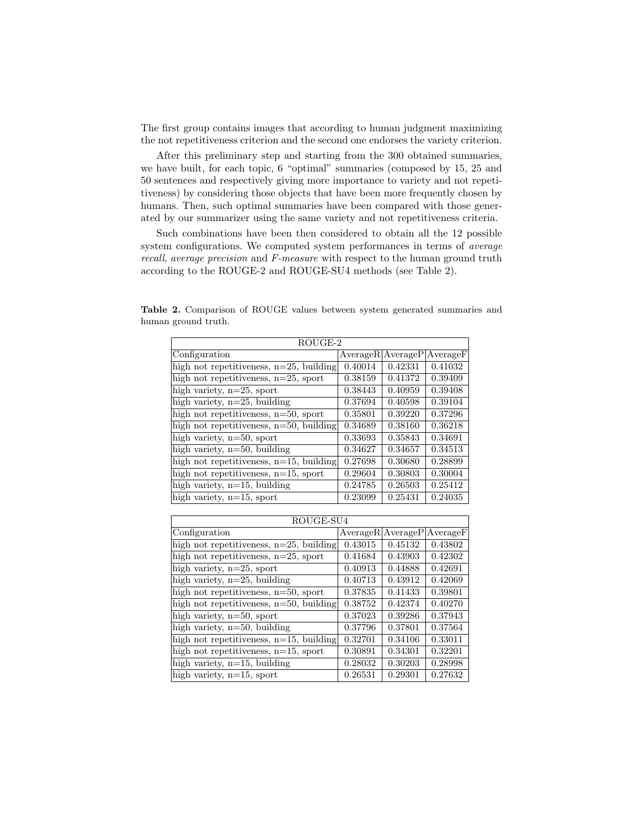The first group contains images that according to human judgment maximizing the not repetitiveness criterion and the second one endorses the variety criterion.

After this preliminary step and starting from the 300 obtained summaries, we have built, for each topic, 6 "optimal" summaries (composed by 15, 25 and 50 sentences and respectively giving more importance to variety and not repetitiveness) by considering those objects that have been more frequently chosen by humans. Then, such optimal summaries have been compared with those generated by our summarizer using the same variety and not repetitiveness criteria.

Such combinations have been then considered to obtain all the 12 possible system configurations. We computed system performances in terms of average recall, average precision and F-measure with respect to the human ground truth according to the ROUGE-2 and ROUGE-SU4 methods (see Table 2).

| ROUGE-2                                    |         |                       |          |  |  |  |
|--------------------------------------------|---------|-----------------------|----------|--|--|--|
| Configuration                              |         | $Average R$ Average P | AverageF |  |  |  |
| high not repetitiveness, $n=25$ , building | 0.40014 | 0.42331               | 0.41032  |  |  |  |
| high not repetitiveness, $n=25$ , sport    | 0.38159 | 0.41372               | 0.39409  |  |  |  |
| high variety, $n=25$ , sport               | 0.38443 | 0.40959               | 0.39408  |  |  |  |
| high variety, $n=25$ , building            | 0.37694 | 0.40598               | 0.39104  |  |  |  |
| high not repetitiveness, $n=50$ , sport    | 0.35801 | 0.39220               | 0.37296  |  |  |  |
| high not repetitiveness, $n=50$ , building | 0.34689 | 0.38160               | 0.36218  |  |  |  |
| high variety, $n=50$ , sport               | 0.33693 | 0.35843               | 0.34691  |  |  |  |
| high variety, $n=50$ , building            | 0.34627 | 0.34657               | 0.34513  |  |  |  |
| high not repetitiveness, $n=15$ , building | 0.27698 | 0.30680               | 0.28899  |  |  |  |
| high not repetitiveness, $n=15$ , sport    | 0.29604 | 0.30803               | 0.30004  |  |  |  |
| high variety, $n=15$ , building            | 0.24785 | 0.26503               | 0.25412  |  |  |  |
| high variety, $n=15$ , sport               | 0.23099 | 0.25431               | 0.24035  |  |  |  |

Table 2. Comparison of ROUGE values between system generated summaries and human ground truth.

| ROUGE-SU4                                  |                               |         |         |  |  |
|--------------------------------------------|-------------------------------|---------|---------|--|--|
| Configuration                              | Average R Average P Average F |         |         |  |  |
| high not repetitiveness, $n=25$ , building | 0.43015                       | 0.45132 | 0.43802 |  |  |
| high not repetitiveness, $n=25$ , sport    | 0.41684                       | 0.43903 | 0.42302 |  |  |
| high variety, $n=25$ , sport               | 0.40913                       | 0.44888 | 0.42691 |  |  |
| high variety, $n=25$ , building            | 0.40713                       | 0.43912 | 0.42069 |  |  |
| high not repetitiveness, $n=50$ , sport    | 0.37835                       | 0.41433 | 0.39801 |  |  |
| high not repetitiveness, $n=50$ , building | 0.38752                       | 0.42374 | 0.40270 |  |  |
| high variety, n=50, sport                  | 0.37023                       | 0.39286 | 0.37943 |  |  |
| high variety, $n=50$ , building            | 0.37796                       | 0.37801 | 0.37564 |  |  |
| high not repetitiveness, $n=15$ , building | 0.32701                       | 0.34106 | 0.33011 |  |  |
| high not repetitiveness, $n=15$ , sport    | 0.30891                       | 0.34301 | 0.32201 |  |  |
| high variety, $n=15$ , building            | 0.28032                       | 0.30203 | 0.28998 |  |  |
| high variety, $n=15$ , sport               | 0.26531                       | 0.29301 | 0.27632 |  |  |